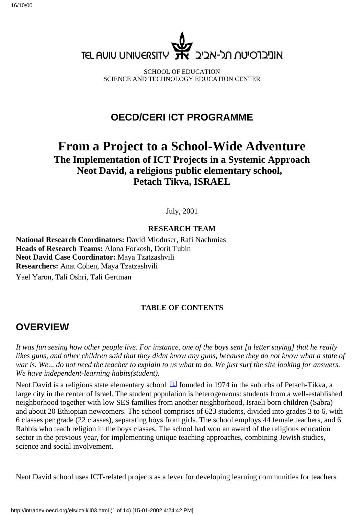

SCHOOL OF EDUCATION SCIENCE AND TECHNOLOGY EDUCATION CENTER

### **OECD/CERI ICT PROGRAMME**

## **From a Project to a School-Wide Adventure The Implementation of ICT Projects in a Systemic Approach Neot David, a religious public elementary school, Petach Tikva, ISRAEL**

July, 2001

### **RESEARCH TEAM**

**National Research Coordinators:** David Mioduser, Rafi Nachmias **Heads of Research Teams:** Alona Forkosh, Dorit Tubin **Neot David Case Coordinator:** Maya Tzatzashvili **Researchers:** Anat Cohen, Maya Tzatzashvili Yael Yaron, Tali Oshri, Tali Gertman

### **TABLE OF CONTENTS**

### **OVERVIEW**

*It was fun seeing how other people live. For instance, one of the boys sent [a letter saying] that he really likes guns, and other children said that they didnt know any guns, because they do not know what a state of war is. We... do not need the teacher to explain to us what to do. We just surf the site looking for answers. We have independent-learning habits(student).*

<span id="page-0-0"></span>Neot David is a religious state elementary school<sup>[1]</sup> founded in 1974 in the suburbs of Petach-Tikva, a large city in the center of Israel. The student population is heterogeneous: students from a well-established neighborhood together with low SES families from another neighborhood, Israeli born children (Sabra) and about 20 Ethiopian newcomers. The school comprises of 623 students, divided into grades 3 to 6, with 6 classes per grade (22 classes), separating boys from girls. The school employs 44 female teachers, and 6 Rabbis who teach religion in the boys classes. The school had won an award of the religious education sector in the previous year, for implementing unique teaching approaches, combining Jewish studies, science and social involvement.

Neot David school uses ICT-related projects as a lever for developing learning communities for teachers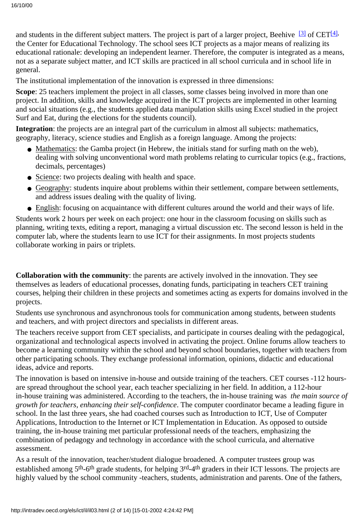<span id="page-1-0"></span>and students in the different subject matters. The project is part of a larger project, Beehive  $\boxed{3}$  of CET $\boxed{4}$ , the Center for Educational Technology. The school sees ICT projects as a major means of realizing its educational rationale: developing an independent learner. Therefore, the computer is integrated as a means, not as a separate subject matter, and ICT skills are practiced in all school curricula and in school life in general.

The institutional implementation of the innovation is expressed in three dimensions:

**Scope**: 25 teachers implement the project in all classes, some classes being involved in more than one project. In addition, skills and knowledge acquired in the ICT projects are implemented in other learning and social situations (e.g., the students applied data manipulation skills using Excel studied in the project Surf and Eat, during the elections for the students council).

**Integration**: the projects are an integral part of the curriculum in almost all subjects: mathematics, geography, literacy, science studies and English as a foreign language. Among the projects:

- Mathematics: the Gamba project (in Hebrew, the initials stand for surfing math on the web), dealing with solving unconventional word math problems relating to curricular topics (e.g., fractions, decimals, percentages)
- Science: two projects dealing with health and space.
- Geography: students inquire about problems within their settlement, compare between settlements, and address issues dealing with the quality of living.
- English: focusing on acquaintance with different cultures around the world and their ways of life.

Students work 2 hours per week on each project: one hour in the classroom focusing on skills such as planning, writing texts, editing a report, managing a virtual discussion etc. The second lesson is held in the computer lab, where the students learn to use ICT for their assignments. In most projects students collaborate working in pairs or triplets.

**Collaboration with the community**: the parents are actively involved in the innovation. They see themselves as leaders of educational processes, donating funds, participating in teachers CET training courses, helping their children in these projects and sometimes acting as experts for domains involved in the projects.

Students use synchronous and asynchronous tools for communication among students, between students and teachers, and with project directors and specialists in different areas.

The teachers receive support from CET specialists, and participate in courses dealing with the pedagogical, organizational and technological aspects involved in activating the project. Online forums allow teachers to become a learning community within the school and beyond school boundaries, together with teachers from other participating schools. They exchange professional information, opinions, didactic and educational ideas, advice and reports.

The innovation is based on intensive in-house and outside training of the teachers. CET courses -112 hoursare spread throughout the school year, each teacher specializing in her field. In addition, a 112-hour in-house training was administered. According to the teachers, the in-house training was *the main source of growth for teachers, enhancing their self-confidence*. The computer coordinator became a leading figure in school. In the last three years, she had coached courses such as Introduction to ICT, Use of Computer Applications, Introduction to the Internet or ICT Implementation in Education. As opposed to outside training, the in-house training met particular professional needs of the teachers, emphasizing the combination of pedagogy and technology in accordance with the school curricula, and alternative assessment.

As a result of the innovation, teacher/student dialogue broadened. A computer trustees group was established among 5th-6th grade students, for helping 3rd-4th graders in their ICT lessons. The projects are highly valued by the school community -teachers, students, administration and parents. One of the fathers,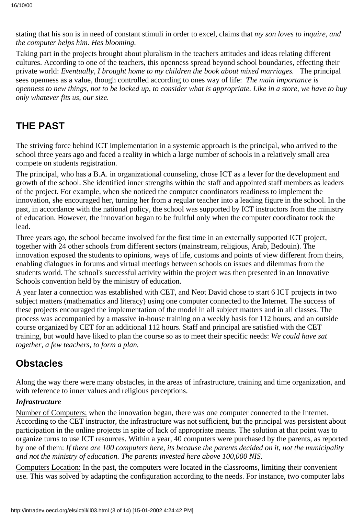stating that his son is in need of constant stimuli in order to excel, claims that *my son loves to inquire, and the computer helps him. Hes blooming.*

Taking part in the projects brought about pluralism in the teachers attitudes and ideas relating different cultures. According to one of the teachers, this openness spread beyond school boundaries, effecting their private world: *Eventually, I brought home to my children the book about mixed marriages.* The principal sees openness as a value, though controlled according to ones way of life: *The main importance is openness to new things, not to be locked up, to consider what is appropriate. Like in a store, we have to buy only whatever fits us, our size.*

# **THE PAST**

The striving force behind ICT implementation in a systemic approach is the principal, who arrived to the school three years ago and faced a reality in which a large number of schools in a relatively small area compete on students registration.

The principal, who has a B.A. in organizational counseling, chose ICT as a lever for the development and growth of the school. She identified inner strengths within the staff and appointed staff members as leaders of the project. For example, when she noticed the computer coordinators readiness to implement the innovation, she encouraged her, turning her from a regular teacher into a leading figure in the school. In the past, in accordance with the national policy, the school was supported by ICT instructors from the ministry of education. However, the innovation began to be fruitful only when the computer coordinator took the lead.

Three years ago, the school became involved for the first time in an externally supported ICT project, together with 24 other schools from different sectors (mainstream, religious, Arab, Bedouin). The innovation exposed the students to opinions, ways of life, customs and points of view different from theirs, enabling dialogues in forums and virtual meetings between schools on issues and dilemmas from the students world. The school's successful activity within the project was then presented in an Innovative Schools convention held by the ministry of education.

A year later a connection was established with CET, and Neot David chose to start 6 ICT projects in two subject matters (mathematics and literacy) using one computer connected to the Internet. The success of these projects encouraged the implementation of the model in all subject matters and in all classes. The process was accompanied by a massive in-house training on a weekly basis for 112 hours, and an outside course organized by CET for an additional 112 hours. Staff and principal are satisfied with the CET training, but would have liked to plan the course so as to meet their specific needs: *We could have sat together, a few teachers, to form a plan.*

## **Obstacles**

Along the way there were many obstacles, in the areas of infrastructure, training and time organization, and with reference to inner values and religious perceptions.

### *Infrastructure*

Number of Computers: when the innovation began, there was one computer connected to the Internet. According to the CET instructor, the infrastructure was not sufficient, but the principal was persistent about participation in the online projects in spite of lack of appropriate means. The solution at that point was to organize turns to use ICT resources. Within a year, 40 computers were purchased by the parents, as reported by one of them: *If there are 100 computers here, its because the parents decided on it, not the municipality and not the ministry of education. The parents invested here above 100,000 NIS.*

Computers Location: In the past, the computers were located in the classrooms, limiting their convenient use. This was solved by adapting the configuration according to the needs. For instance, two computer labs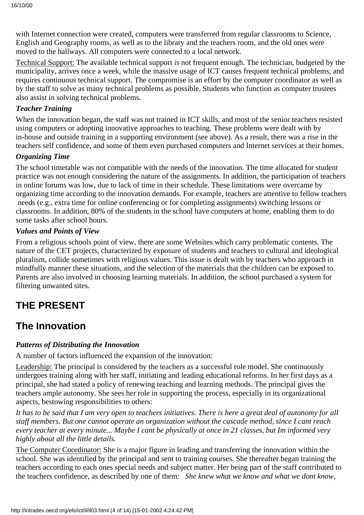with Internet connection were created, computers were transferred from regular classrooms to Science, English and Geography rooms, as well as to the library and the teachers room, and the old ones were moved to the hallways. All computers were connected to a local network.

Technical Support: The available technical support is not frequent enough. The technician, budgeted by the municipality, arrives once a week, while the massive usage of ICT causes frequent technical problems, and requires continuous technical support. The compromise is an effort by the computer coordinator as well as by the staff to solve as many technical problems as possible. Students who function as computer trustees also assist in solving technical problems.

#### *Teacher Training*

When the innovation began, the staff was not trained in ICT skills, and most of the senior teachers resisted using computers or adopting innovative approaches to teaching. These problems were dealt with by in-house and outside training in a supporting environment (see above). As a result, there was a rise in the teachers self confidence, and some of them even purchased computers and Internet services at their homes.

#### *Organizing Time*

The school timetable was not compatible with the needs of the innovation. The time allocated for student practice was not enough considering the nature of the assignments. In addition, the participation of teachers in online forums was low, due to lack of time in their schedule. These limitations were overcame by organizing time according to the innovation demands. For example, teachers are attentive to fellow teachers

 needs (e.g., extra time for online conferencing or for completing assignments) switching lessons or classrooms. In addition, 80% of the students in the school have computers at home, enabling them to do some tasks after school hours.

#### *Values and Points of View*

From a religious school s point of view, there are some Websites which carry problematic contents. The nature of the CET projects, characterized by exposure of students and teachers to cultural and ideological pluralism, collide sometimes with religious values. This issue is dealt with by teachers who approach in mindfully manner these situations, and the selection of the materials that the children can be exposed to. Parents are also involved in choosing learning materials. In addition, the school purchased a system for filtering unwanted sites.

# **THE PRESENT**

### **The Innovation**

#### *Patterns of Distributing the Innovation*

A number of factors influenced the expansion of the innovation:

Leadership: The principal is considered by the teachers as a successful role model. She continuously undergoes training along with her staff, initiating and leading educational reforms. In her first days as a principal, she had stated a policy of renewing teaching and learning methods. The principal gives the teachers ample autonomy. She sees her role in supporting the process, especially in its organizational aspects, bestowing responsibilities to others:

*It has to be said that I am very open to teachers initiatives. There is here a great deal of autonomy for all staff members. But one cannot operate an organization without the cascade method, since I cant reach every teacher at every minute... Maybe I cant be physically at once in 21 classes, but Im informed very highly about all the little details.*

The Computer Coordinator: She is a major figure in leading and transferring the innovation within the school. She was identified by the principal and sent to training courses. She thereafter began training the teachers according to each ones special needs and subject matter. Her being part of the staff contributed to the teachers confidence, as described by one of them: *She knew what we know and what we dont know,*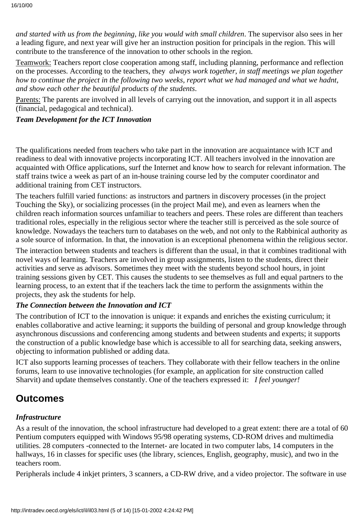*and started with us from the beginning, like you would with small children*. The supervisor also sees in her a leading figure, and next year will give her an instruction position for principals in the region. This will contribute to the transference of the innovation to other schools in the region.

Teamwork: Teachers report close cooperation among staff, including planning, performance and reflection on the processes. According to the teachers, they *always work together, in staff meetings we plan together how to continue the project in the following two weeks, report what we had managed and what we hadnt, and show each other the beautiful products of the students*.

Parents: The parents are involved in all levels of carrying out the innovation, and support it in all aspects (financial, pedagogical and technical).

#### *Team Development for the ICT Innovation*

The qualifications needed from teachers who take part in the innovation are acquaintance with ICT and readiness to deal with innovative projects incorporating ICT. All teachers involved in the innovation are acquainted with Office applications, surf the Internet and know how to search for relevant information. The staff trains twice a week as part of an in-house training course led by the computer coordinator and additional training from CET instructors.

The teachers fulfill varied functions: as instructors and partners in discovery processes (in the project Touching the Sky), or socializing processes (in the project Mail me), and even as learners when the children reach information sources unfamiliar to teachers and peers. These roles are different than teachers traditional roles, especially in the religious sector where the teacher still is perceived as the sole source of knowledge. Nowadays the teachers turn to databases on the web, and not only to the Rabbinical authority as a sole source of information. In that, the innovation is an exceptional phenomena within the religious sector.

The interaction between students and teachers is different than the usual, in that it combines traditional with novel ways of learning. Teachers are involved in group assignments, listen to the students, direct their activities and serve as advisors. Sometimes they meet with the students beyond school hours, in joint training sessions given by CET. This causes the students to see themselves as full and equal partners to the learning process, to an extent that if the teachers lack the time to perform the assignments within the projects, they ask the students for help.

### *The Connection between the Innovation and ICT*

The contribution of ICT to the innovation is unique: it expands and enriches the existing curriculum; it enables collaborative and active learning; it supports the building of personal and group knowledge through asynchronous discussions and conferencing among students and between students and experts; it supports the construction of a public knowledge base which is accessible to all for searching data, seeking answers, objecting to information published or adding data.

ICT also supports learning processes of teachers. They collaborate with their fellow teachers in the online forums, learn to use innovative technologies (for example, an application for site construction called Sharvit) and update themselves constantly. One of the teachers expressed it: *I feel younger!*

### **Outcomes**

### *Infrastructure*

As a result of the innovation, the school infrastructure had developed to a great extent: there are a total of 60 Pentium computers equipped with Windows 95/98 operating systems, CD-ROM drives and multimedia utilities. 28 computers -connected to the Internet- are located in two computer labs, 14 computers in the hallways, 16 in classes for specific uses (the library, sciences, English, geography, music), and two in the teachers room.

Peripherals include 4 inkjet printers, 3 scanners, a CD-RW drive, and a video projector. The software in use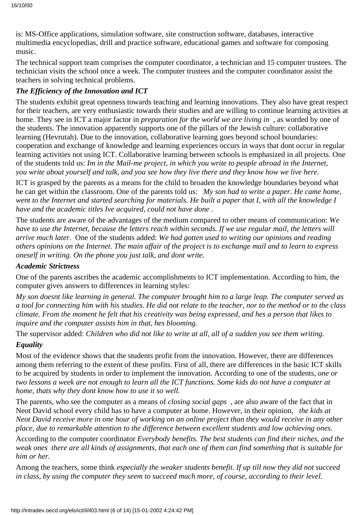is: MS-Office applications, simulation software, site construction software, databases, interactive multimedia encyclopedias, drill and practice software, educational games and software for composing music.

The technical support team comprises the computer coordinator, a technician and 15 computer trustees. The technician visits the school once a week. The computer trustees and the computer coordinator assist the teachers in solving technical problems.

### *The Efficiency of the Innovation and ICT*

The students exhibit great openness towards teaching and learning innovations. They also have great respect for their teachers, are very enthusiastic towards their studies and are willing to continue learning activities at home. They see in ICT a major factor in *preparation for the world we are living in*, as worded by one of the students. The innovation apparently supports one of the pillars of the Jewish culture: collaborative learning (Hevrutah). Due to the innovation, collaborative learning goes beyond school boundaries: cooperation and exchange of knowledge and learning experiences occurs in ways that dont occur in regular learning activities not using ICT. Collaborative learning between schools is emphasized in all projects. One of the students told us: *Im in the Mail-me project, in which you write to people abroad in the Internet, you write about yourself and talk, and you see how they live there and they know how we live here.*

ICT is grasped by the parents as a means for the child to broaden the knowledge boundaries beyond what he can get within the classroom. One of the parents told us: *My son had to write a paper. He came home, went to the Internet and started searching for materials. He built a paper that I, with all the knowledge I have and the academic titles Ive acquired, could not have done*.

The students are aware of the advantages of the medium compared to other means of communication: *We have to use the Internet, because the letters reach within seconds. If we use regular mail, the letters will arrive much later.* One of the students added: *We had gotten used to writing our opinions and reading others opinions on the Internet. The main affair of the project is to exchange mail and to learn to express oneself in writing. On the phone you just talk, and dont write.*

#### *Academic Strictness*

One of the parents ascribes the academic accomplishments to ICT implementation. According to him, the computer gives answers to differences in learning styles:

*My son doesnt like learning in general. The computer brought him to a large leap. The computer served as a tool for connecting him with his studies. He did not relate to the teacher, nor to the method or to the class climate. From the moment he felt that his creativity was being expressed, and hes a person that likes to inquire and the computer assists him in that, hes blooming.*

The supervisor added: *Children who did not like to write at all, all of a sudden you see them writing. Equality*

Most of the evidence shows that the students profit from the innovation. However, there are differences among them referring to the extent of these profits. First of all, there are differences in the basic ICT skills to be acquired by students in order to implement the innovation. According to one of the students, *one or two lessons a week are not enough to learn all the ICT functions. Some kids do not have a computer at home, that s why they don t know how to use it so well.* 

The parents, who see the computer as a means of *closing social gaps*, are also aware of the fact that in Neot David school every child has to have a computer at home. However, in their opinion, *the kids at Neot David receive more in one hour of working on an online project than they would receive in any other place, due to remarkable attention to the difference between excellent students and low achieving ones.*

According to the computer coordinator *Everybody benefits. The best students can find their niches, and the weak ones there are all kinds of assignments, that each one of them can find something that is suitable for him or her.*

Among the teachers, some think *especially the weaker students benefit. If up till now they did not succeed in class, by using the computer they seem to succeed much more, of course, according to their level.*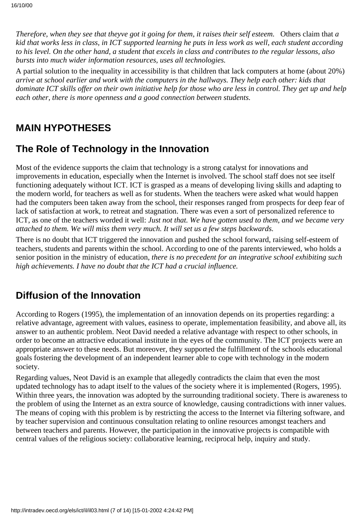*Therefore, when they see that theyve got it going for them, it raises their self esteem.* Others claim that *a kid that works less in class, in ICT supported learning he puts in less work as well, each student according to his level. On the other hand, a student that excels in class and contributes to the regular lessons, also bursts into much wider information resources, uses all technologies.*

A partial solution to the inequality in accessibility is that children that lack computers at home (about 20%) *arrive at school earlier and work with the computers in the hallways. They help each other: kids that dominate ICT skills offer on their own initiative help for those who are less in control. They get up and help each other, there is more openness and a good connection between students.*

## **MAIN HYPOTHESES**

## **The Role of Technology in the Innovation**

Most of the evidence supports the claim that technology is a strong catalyst for innovations and improvements in education, especially when the Internet is involved. The school staff does not see itself functioning adequately without ICT. ICT is grasped as a means of developing living skills and adapting to the modern world, for teachers as well as for students. When the teachers were asked what would happen had the computers been taken away from the school, their responses ranged from prospects for deep fear of lack of satisfaction at work, to retreat and stagnation. There was even a sort of personalized reference to ICT, as one of the teachers worded it well: *Just not that. We have gotten used to them, and we became very attached to them. We will miss them very much. It will set us a few steps backwards.*

There is no doubt that ICT triggered the innovation and pushed the school forward, raising self-esteem of teachers, students and parents within the school. According to one of the parents interviewed, who holds a senior position in the ministry of education, *there is no precedent for an integrative school exhibiting such high achievements. I have no doubt that the ICT had a crucial influence.*

# **Diffusion of the Innovation**

According to Rogers (1995), the implementation of an innovation depends on its properties regarding: a relative advantage, agreement with values, easiness to operate, implementation feasibility, and above all, its answer to an authentic problem. Neot David needed a relative advantage with respect to other schools, in order to become an attractive educational institute in the eyes of the community. The ICT projects were an appropriate answer to these needs. But moreover, they supported the fulfillment of the schools educational goals fostering the development of an independent learner able to cope with technology in the modern society.

Regarding values, Neot David is an example that allegedly contradicts the claim that even the most updated technology has to adapt itself to the values of the society where it is implemented (Rogers, 1995). Within three years, the innovation was adopted by the surrounding traditional society. There is awareness to the problem of using the Internet as an extra source of knowledge, causing contradictions with inner values. The means of coping with this problem is by restricting the access to the Internet via filtering software, and by teacher supervision and continuous consultation relating to online resources amongst teachers and between teachers and parents. However, the participation in the innovative projects is compatible with central values of the religious society: collaborative learning, reciprocal help, inquiry and study.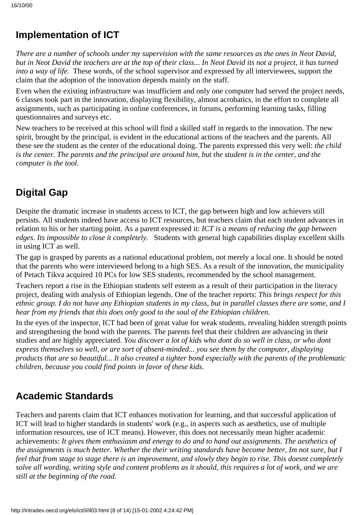## **Implementation of ICT**

*There are a number of schools under my supervision with the same resources as the ones in Neot David, but in Neot David the teachers are at the top of their class... In Neot David its not a project, it has turned into a way of life.* These words, of the school supervisor and expressed by all interviewees, support the claim that the adoption of the innovation depends mainly on the staff.

Even when the existing infrastructure was insufficient and only one computer had served the project needs, 6 classes took part in the innovation, displaying flexibility, almost acrobatics, in the effort to complete all assignments, such as participating in online conferences, in forums, performing learning tasks, filling questionnaires and surveys etc.

New teachers to be received at this school will find a skilled staff in regards to the innovation. The new spirit, brought by the principal, is evident in the educational actions of the teachers and the parents. All these see the student as the center of the educational doing. The parents expressed this very well: *the child is the center. The parents and the principal are around him, but the student is in the center, and the computer is the tool.*

# **Digital Gap**

Despite the dramatic increase in students access to ICT, the gap between high and low achievers still persists. All students indeed have access to ICT resources, but teachers claim that each student advances in relation to his or her starting point. As a parent expressed it: *ICT is a means of reducing the gap between edges. Its impossible to close it completely.* Students with general high capabilities display excellent skills in using ICT as well.

The gap is grasped by parents as a national educational problem, not merely a local one. It should be noted that the parents who were interviewed belong to a high SES. As a result of the innovation, the municipality of Petach Tikva acquired 10 PCs for low SES students, recommended by the school management.

Teachers report a rise in the Ethiopian students self esteem as a result of their participation in the literacy project, dealing with analysis of Ethiopian legends. One of the teacher reports: *This brings respect for this ethnic group. I do not have any Ethiopian students in my class, but in parallel classes there are some, and I hear from my friends that this does only good to the soul of the Ethiopian children.*

In the eyes of the inspector, ICT had been of great value for weak students, revealing hidden strength points and strengthening the bond with the parents. The parents feel that their children are advancing in their studies and are highly appreciated. *You discover a lot of kids who dont do so well in class, or who dont express themselves so well, or are sort of absent-minded... you see them by the computer, displaying products that are so beautiful... It also created a tighter bond especially with the parents of the problematic children, because you could find points in favor of these kids.*

# **Academic Standards**

Teachers and parents claim that ICT enhances motivation for learning, and that successful application of ICT will lead to higher standards in students' work (e.g., in aspects such as aesthetics, use of multiple information resources, use of ICT means). However, this does not necessarily mean higher academic achievements: *It gives them enthusiasm and energy to do and to hand out assignments. The aesthetics of the assignments is much better. Whether the their writing standards have become better, Im not sure, but I feel that from stage to stage there is an improvement, and slowly they begin to rise. This doesnt completely solve all wording, writing style and content problems as it should, this requires a lot of work, and we are still at the beginning of the road.*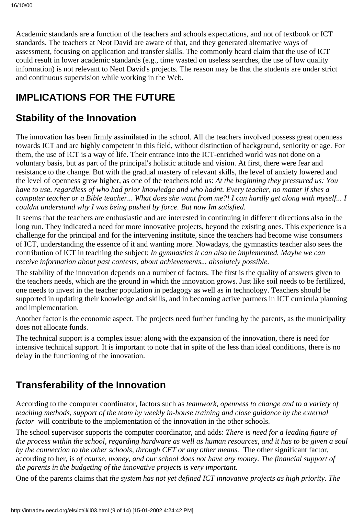Academic standards are a function of the teachers and schools expectations, and not of textbook or ICT standards. The teachers at Neot David are aware of that, and they generated alternative ways of assessment, focusing on application and transfer skills. The commonly heard claim that the use of ICT could result in lower academic standards (e.g., time wasted on useless searches, the use of low quality information) is not relevant to Neot David's projects. The reason may be that the students are under strict and continuous supervision while working in the Web.

# **IMPLICATIONS FOR THE FUTURE**

## **Stability of the Innovation**

The innovation has been firmly assimilated in the school. All the teachers involved possess great openness towards ICT and are highly competent in this field, without distinction of background, seniority or age. For them, the use of ICT is a way of life. Their entrance into the ICT-enriched world was not done on a voluntary basis, but as part of the principal's holistic attitude and vision. At first, there were fear and resistance to the change. But with the gradual mastery of relevant skills, the level of anxiety lowered and the level of openness grew higher, as one of the teachers told us: *At the beginning they pressured us: You have to use. regardless of who had prior knowledge and who hadnt. Every teacher, no matter if shes a computer teacher or a Bible teacher... What does she want from me?! I can hardly get along with myself... I couldnt understand why I was being pushed by force. But now Im satisfied.*

It seems that the teachers are enthusiastic and are interested in continuing in different directions also in the long run. They indicated a need for more innovative projects, beyond the existing ones. This experience is a challenge for the principal and for the intervening institute, since the teachers had become wise consumers of ICT, understanding the essence of it and wanting more. Nowadays, the gymnastics teacher also sees the contribution of ICT in teaching the subject: *In gymnastics it can also be implemented. Maybe we can receive information about past contests, about achievements... absolutely possible.*

The stability of the innovation depends on a number of factors. The first is the quality of answers given to the teachers needs, which are the ground in which the innovation grows. Just like soil needs to be fertilized, one needs to invest in the teacher population in pedagogy as well as in technology. Teachers should be supported in updating their knowledge and skills, and in becoming active partners in ICT curricula planning and implementation.

Another factor is the economic aspect. The projects need further funding by the parents, as the municipality does not allocate funds.

The technical support is a complex issue: along with the expansion of the innovation, there is need for intensive technical support. It is important to note that in spite of the less than ideal conditions, there is no delay in the functioning of the innovation.

# **Transferability of the Innovation**

According to the computer coordinator, factors such as *teamwork, openness to change and to a variety of teaching methods, support of the team by weekly in-house training and close guidance by the external factor* will contribute to the implementation of the innovation in the other schools.

The school supervisor supports the computer coordinator, and adds: *There is need for a leading figure of the process within the school, regarding hardware as well as human resources, and it has to be given a soul by the connection to the other schools, through CET or any other means.* The other significant factor, according to her, is *of course, money, and our school does not have any money. The financial support of the parents in the budgeting of the innovative projects is very important.*

One of the parents claims that *the system has not yet defined ICT innovative projects as high priority. The*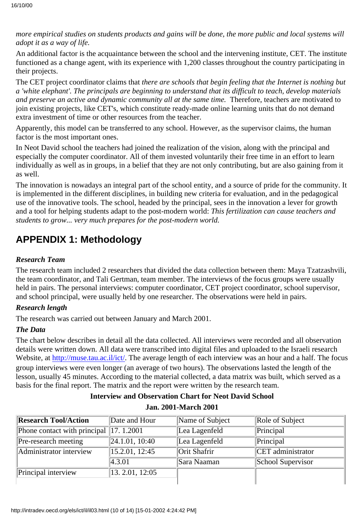*more empirical studies on students products and gains will be done, the more public and local systems will adopt it as a way of life.*

An additional factor is the acquaintance between the school and the intervening institute, CET. The institute functioned as a change agent, with its experience with 1,200 classes throughout the country participating in their projects.

The CET project coordinator claims that *there are schools that begin feeling that the Internet is nothing but a 'white elephant'. The principals are beginning to understand that its difficult to teach, develop materials and preserve an active and dynamic community all at the same time.* Therefore, teachers are motivated to join existing projects, like CET's, which constitute ready-made online learning units that do not demand extra investment of time or other resources from the teacher.

Apparently, this model can be transferred to any school. However, as the supervisor claims, the human factor is the most important ones.

In Neot David school the teachers had joined the realization of the vision, along with the principal and especially the computer coordinator. All of them invested voluntarily their free time in an effort to learn individually as well as in groups, in a belief that they are not only contributing, but are also gaining from it as well.

The innovation is nowadays an integral part of the school entity, and a source of pride for the community. It is implemented in the different disciplines, in building new criteria for evaluation, and in the pedagogical use of the innovative tools. The school, headed by the principal, sees in the innovation a lever for growth and a tool for helping students adapt to the post-modern world: *This fertilization can cause teachers and students to grow... very much prepares for the post-modern world.*

# **APPENDIX 1: Methodology**

### *Research Team*

The research team included 2 researchers that divided the data collection between them: Maya Tzatzashvili, the team coordinator, and Tali Gertman, team member. The interviews of the focus groups were usually held in pairs. The personal interviews: computer coordinator, CET project coordinator, school supervisor, and school principal, were usually held by one researcher. The observations were held in pairs.

### *Research length*

The research was carried out between January and March 2001.

### *The Data*

The chart below describes in detail all the data collected. All interviews were recorded and all observation details were written down. All data were transcribed into digital files and uploaded to the Israeli research Website, at<http://muse.tau.ac.il/ict/>. The average length of each interview was an hour and a half. The focus group interviews were even longer (an average of two hours). The observations lasted the length of the lesson, usually 45 minutes. According to the material collected, a data matrix was built, which served as a basis for the final report. The matrix and the report were written by the research team.

| <b>Research Tool/Action</b>                           | Date and Hour    | Name of Subject     | Role of Subject   |
|-------------------------------------------------------|------------------|---------------------|-------------------|
| Phone contact with principal $\left 17.1.2001\right $ |                  | Lea Lagenfeld       | Principal         |
| Pre-research meeting                                  | [24.1.01, 10.40] | Lea Lagenfeld       | Principal         |
| Administrator interview                               | 15.2.01, 12:45   | <b>Orit Shafrir</b> | CET administrator |
|                                                       | 4.3.01           | Sara Naaman         | School Supervisor |
| Principal interview                                   | 13. 2.01, 12:05  |                     |                   |
|                                                       |                  |                     |                   |

**Interview and Observation Chart for Neot David School Jan. 2001-March 2001**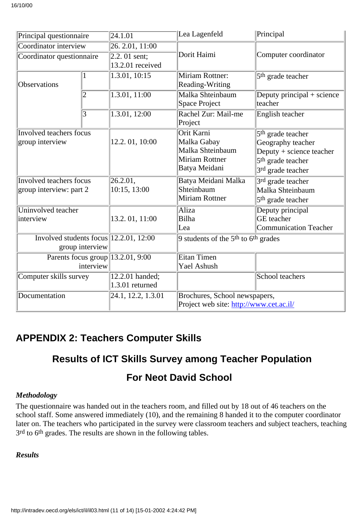| Principal questionnaire   |           | 24.1.01                                   | Lea Lagenfeld                            | Principal                              |  |
|---------------------------|-----------|-------------------------------------------|------------------------------------------|----------------------------------------|--|
| Coordinator interview     |           | 26. 2.01, 11:00                           |                                          |                                        |  |
| Coordinator questionnaire |           | $2.2.01$ sent;                            | Dorit Haimi                              | Computer coordinator                   |  |
|                           |           | 13.2.01 received                          |                                          |                                        |  |
|                           |           | 1.3.01, 10:15                             | Miriam Rottner:                          | 5 <sup>th</sup> grade teacher          |  |
| Observations              |           |                                           | Reading-Writing                          |                                        |  |
|                           | 2         | 1.3.01, 11:00                             | Malka Shteinbaum<br><b>Space Project</b> | Deputy principal + science<br>lteacher |  |
|                           | 3         | 1.3.01, 12:00                             | Rachel Zur: Mail-me                      | English teacher                        |  |
|                           |           |                                           | Project                                  |                                        |  |
| Involved teachers focus   |           |                                           | <b>Orit Karni</b>                        | 5 <sup>th</sup> grade teacher          |  |
| group interview           |           | 12.2.01, 10:00                            | Malka Gabay                              | Geography teacher                      |  |
|                           |           |                                           | Malka Shteinbaum                         | Deputy + science teacher               |  |
|                           |           |                                           | <b>Miriam Rottner</b>                    | 5 <sup>th</sup> grade teacher          |  |
|                           |           |                                           | Batya Meidani                            | 3rd grade teacher                      |  |
| Involved teachers focus   |           | 26.2.01,                                  | Batya Meidani Malka                      | 3rd grade teacher                      |  |
| group interview: part 2   |           | 10:15, 13:00                              | Shteinbaum                               | Malka Shteinbaum                       |  |
|                           |           |                                           | <b>Miriam Rottner</b>                    | 5 <sup>th</sup> grade teacher          |  |
| Uninvolved teacher        |           |                                           | Aliza                                    | Deputy principal                       |  |
| interview                 |           | 13.2.01, 11:00                            | Bilha                                    | <b>GE</b> teacher                      |  |
|                           |           |                                           | Lea                                      | <b>Communication Teacher</b>           |  |
|                           |           | Involved students focus $ 12.2.01, 12:00$ | 9 students of the $5th$ to $6th$ grades  |                                        |  |
| group interview           |           |                                           |                                          |                                        |  |
|                           |           | Parents focus group $ 13.2.01, 9:00$      | <b>Eitan Timen</b>                       |                                        |  |
|                           | interview |                                           | Yael Ashush                              |                                        |  |
| Computer skills survey    |           | 12.2.01 handed;                           |                                          | School teachers                        |  |
|                           |           | 1.3.01 returned                           |                                          |                                        |  |
| Documentation             |           | 24.1, 12.2, 1.3.01                        | Brochures, School newspapers,            |                                        |  |
|                           |           |                                           | Project web site: http://www.cet.ac.il/  |                                        |  |

### **APPENDIX 2: Teachers Computer Skills**

### **Results of ICT Skills Survey among Teacher Population**

### **For Neot David School**

#### *Methodology*

The questionnaire was handed out in the teachers room, and filled out by 18 out of 46 teachers on the school staff. Some answered immediately (10), and the remaining 8 handed it to the computer coordinator later on. The teachers who participated in the survey were classroom teachers and subject teachers, teaching 3<sup>rd</sup> to 6<sup>th</sup> grades. The results are shown in the following tables.

*Results*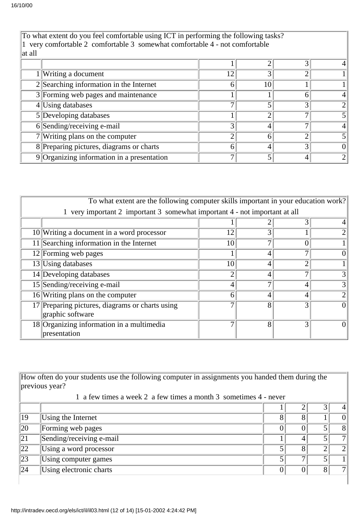|        | To what extent do you feel comfortable using ICT in performing the following tasks? |               |    |   |                |  |  |
|--------|-------------------------------------------------------------------------------------|---------------|----|---|----------------|--|--|
|        | very comfortable 2 comfortable 3 somewhat comfortable 4 - not comfortable           |               |    |   |                |  |  |
| at all |                                                                                     |               |    |   |                |  |  |
|        |                                                                                     |               |    |   |                |  |  |
|        | $1$ Writing a document                                                              | 12            |    | ◠ |                |  |  |
|        | $2$ Searching information in the Internet                                           | 6             | 10 |   |                |  |  |
|        | $3$ Forming web pages and maintenance                                               |               |    | 6 |                |  |  |
|        | $4$ Using databases                                                                 |               |    | 3 | $\overline{2}$ |  |  |
|        | $5$ Developing databases                                                            |               |    |   | $\mathfrak{H}$ |  |  |
|        | $6$ Sending/receiving e-mail                                                        | 3             |    |   |                |  |  |
|        | $7$ Writing plans on the computer                                                   | $\mathcal{D}$ | h  | ◠ | $\mathfrak{H}$ |  |  |
|        | 8 Preparing pictures, diagrams or charts                                            | 6             |    | 3 | $\Omega$       |  |  |
|        | 9 Organizing information in a presentation                                          |               |    | 4 | $\overline{2}$ |  |  |

| To what extent are the following computer skills important in your education work? |                |   |   |          |  |
|------------------------------------------------------------------------------------|----------------|---|---|----------|--|
| very important 2 important 3 somewhat important 4 - not important at all           |                |   |   |          |  |
|                                                                                    |                |   |   |          |  |
| 10 Writing a document in a word processor                                          | 12             |   |   |          |  |
| 11 Searching information in the Internet                                           | 10             |   |   |          |  |
| $12$ Forming web pages                                                             |                | 4 |   | $\theta$ |  |
| 13 Using databases                                                                 | 10             | 4 | っ |          |  |
| 14 Developing databases                                                            | $\overline{2}$ | Δ |   |          |  |
| $15$ Sending/receiving e-mail                                                      | 4              |   | 4 |          |  |
| 16 Writing plans on the computer                                                   | 6              | 4 | 4 |          |  |
| 17 Preparing pictures, diagrams or charts using                                    | 7              | 8 |   | $\Omega$ |  |
| graphic software                                                                   |                |   |   |          |  |
| 18 Organizing information in a multimedia                                          | 7              | 8 | 3 | $\theta$ |  |
| presentation                                                                       |                |   |   |          |  |

How often do your students use the following computer in assignments you handed them during the previous year?

|              | a few times a week 2 a few times a month 3 sometimes 4 - never |          |   |                |
|--------------|----------------------------------------------------------------|----------|---|----------------|
|              |                                                                |          |   | $\overline{4}$ |
| 19           | Using the Internet                                             | 8        | 8 | $\Omega$       |
| $ 20\rangle$ | Forming web pages                                              | $\Omega$ |   | 8              |
| 21           | Sending/receiving e-mail                                       |          |   | 7 <sub>h</sub> |
| $ 22\rangle$ | Using a word processor                                         |          | 8 | 2              |
| 23           | Using computer games                                           |          |   |                |
| 24           | Using electronic charts                                        | $\Omega$ |   | 7 <sub>h</sub> |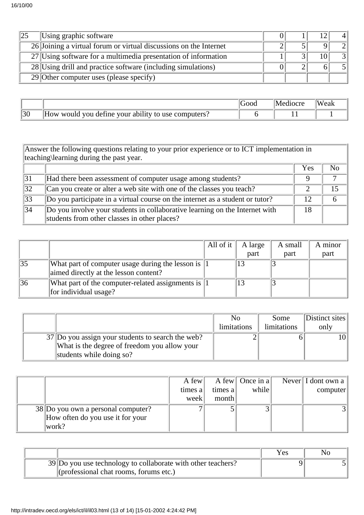| 25 | Using graphic software                                              |  | $\overline{4}$ |
|----|---------------------------------------------------------------------|--|----------------|
|    | $26$ Joining a virtual forum or virtual discussions on the Internet |  |                |
|    | $27$ Using software for a multimedia presentation of information    |  |                |
|    | 28 Using drill and practice software (including simulations)        |  |                |
|    | 29 Other computer uses (please specify)                             |  |                |

|    |                                                                                | $\Delta$ | $\sim$ | 'Weak |
|----|--------------------------------------------------------------------------------|----------|--------|-------|
| 30 | $\cdots$<br>$\sim$<br>puters.<br>VOU.<br>11ne<br>10W<br>N P.I<br>101116<br>vou |          |        |       |

|             | Answer the following questions relating to your prior experience or to ICT implementation in |    |    |  |  |  |
|-------------|----------------------------------------------------------------------------------------------|----|----|--|--|--|
|             | teaching learning during the past year.                                                      |    |    |  |  |  |
|             | Yes<br>No                                                                                    |    |    |  |  |  |
| 31          | Had there been assessment of computer usage among students?                                  |    |    |  |  |  |
| $\sqrt{32}$ | Can you create or alter a web site with one of the classes you teach?                        |    | 15 |  |  |  |
| $\sqrt{33}$ | Do you participate in a virtual course on the internet as a student or tutor?                | 12 | h  |  |  |  |
| $\sqrt{34}$ | Do you involve your students in collaborative learning on the Internet with                  | 18 |    |  |  |  |
|             | students from other classes in other places?                                                 |    |    |  |  |  |

|    |                                                                                                         | All of it | A large | A small | A minor |
|----|---------------------------------------------------------------------------------------------------------|-----------|---------|---------|---------|
|    |                                                                                                         |           | part    | part    | part    |
| 35 | What part of computer usage during the lesson is $\parallel$ 1<br>aimed directly at the lesson content? |           |         |         |         |
| 36 | What part of the computer-related assignments is $ 1 $<br>for individual usage?                         |           |         |         |         |

|                                                   | No          | Some        | Distinct sites |
|---------------------------------------------------|-------------|-------------|----------------|
|                                                   | limitations | limitations | only           |
| 37 Do you assign your students to search the web? |             |             |                |
| What is the degree of freedom you allow your      |             |             |                |
| students while doing so?                          |             |             |                |

|                                    | A few   |         | A few   Once in a | Never I don t own a |
|------------------------------------|---------|---------|-------------------|---------------------|
|                                    | times a | times a | while             | commuter            |
|                                    | week    | month   |                   |                     |
| 38 Do you own a personal computer? |         |         |                   |                     |
| How often do you use it for your   |         |         |                   |                     |
| work?                              |         |         |                   |                     |

|                                                              | Yes | Nο |
|--------------------------------------------------------------|-----|----|
| 39 Do you use technology to collaborate with other teachers? |     |    |
| (professional chat rooms, forums etc.)                       |     |    |